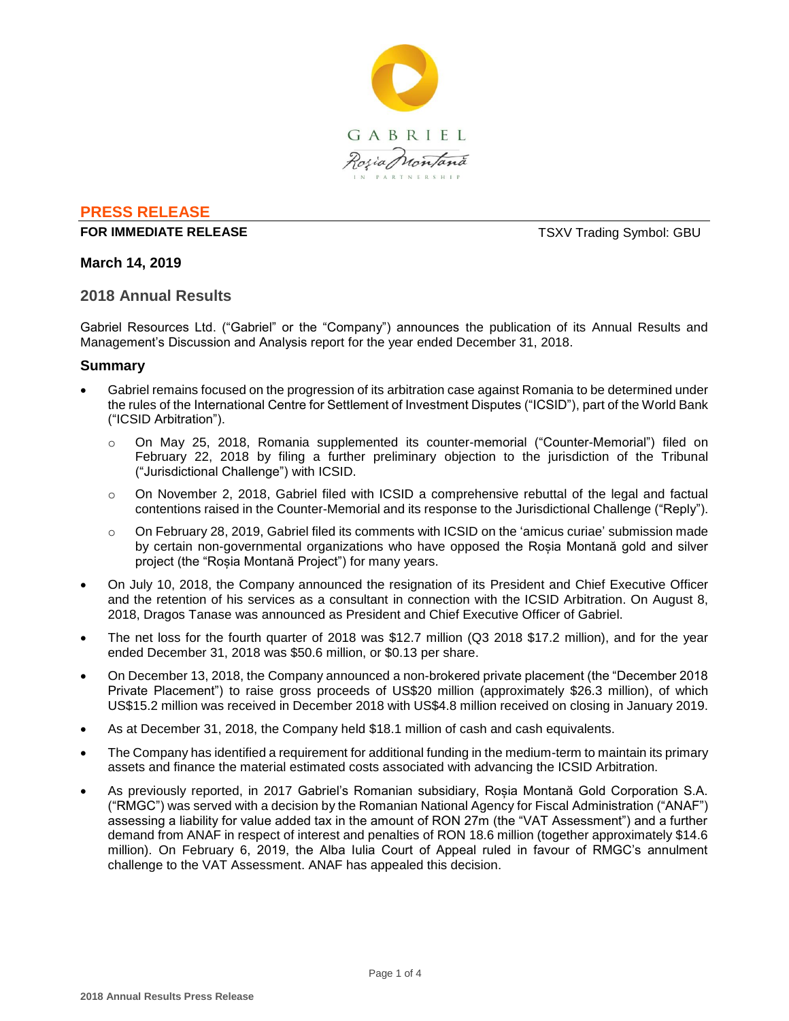

# **PRESS RELEASE**

## **FOR IMMEDIATE RELEASE TSXV Trading Symbol: GBU**

# **March 14, 2019**

#### **2018 Annual Results**

Gabriel Resources Ltd. ("Gabriel" or the "Company") announces the publication of its Annual Results and Management's Discussion and Analysis report for the year ended December 31, 2018.

# **Summary**

- Gabriel remains focused on the progression of its arbitration case against Romania to be determined under the rules of the International Centre for Settlement of Investment Disputes ("ICSID"), part of the World Bank ("ICSID Arbitration").
	- o On May 25, 2018, Romania supplemented its counter-memorial ("Counter-Memorial") filed on February 22, 2018 by filing a further preliminary objection to the jurisdiction of the Tribunal ("Jurisdictional Challenge") with ICSID.
	- o On November 2, 2018, Gabriel filed with ICSID a comprehensive rebuttal of the legal and factual contentions raised in the Counter-Memorial and its response to the Jurisdictional Challenge ("Reply").
	- o On February 28, 2019, Gabriel filed its comments with ICSID on the 'amicus curiae' submission made by certain non-governmental organizations who have opposed the Roșia Montană gold and silver project (the "Roșia Montană Project") for many years.
- On July 10, 2018, the Company announced the resignation of its President and Chief Executive Officer and the retention of his services as a consultant in connection with the ICSID Arbitration. On August 8, 2018, Dragos Tanase was announced as President and Chief Executive Officer of Gabriel.
- The net loss for the fourth quarter of 2018 was \$12.7 million (Q3 2018 \$17.2 million), and for the year ended December 31, 2018 was \$50.6 million, or \$0.13 per share.
- On December 13, 2018, the Company announced a non-brokered private placement (the "December 2018 Private Placement") to raise gross proceeds of US\$20 million (approximately \$26.3 million), of which US\$15.2 million was received in December 2018 with US\$4.8 million received on closing in January 2019.
- As at December 31, 2018, the Company held \$18.1 million of cash and cash equivalents.
- The Company has identified a requirement for additional funding in the medium-term to maintain its primary assets and finance the material estimated costs associated with advancing the ICSID Arbitration.
- As previously reported, in 2017 Gabriel's Romanian subsidiary, Roșia Montană Gold Corporation S.A. ("RMGC") was served with a decision by the Romanian National Agency for Fiscal Administration ("ANAF") assessing a liability for value added tax in the amount of RON 27m (the "VAT Assessment") and a further demand from ANAF in respect of interest and penalties of RON 18.6 million (together approximately \$14.6 million). On February 6, 2019, the Alba Iulia Court of Appeal ruled in favour of RMGC's annulment challenge to the VAT Assessment. ANAF has appealed this decision.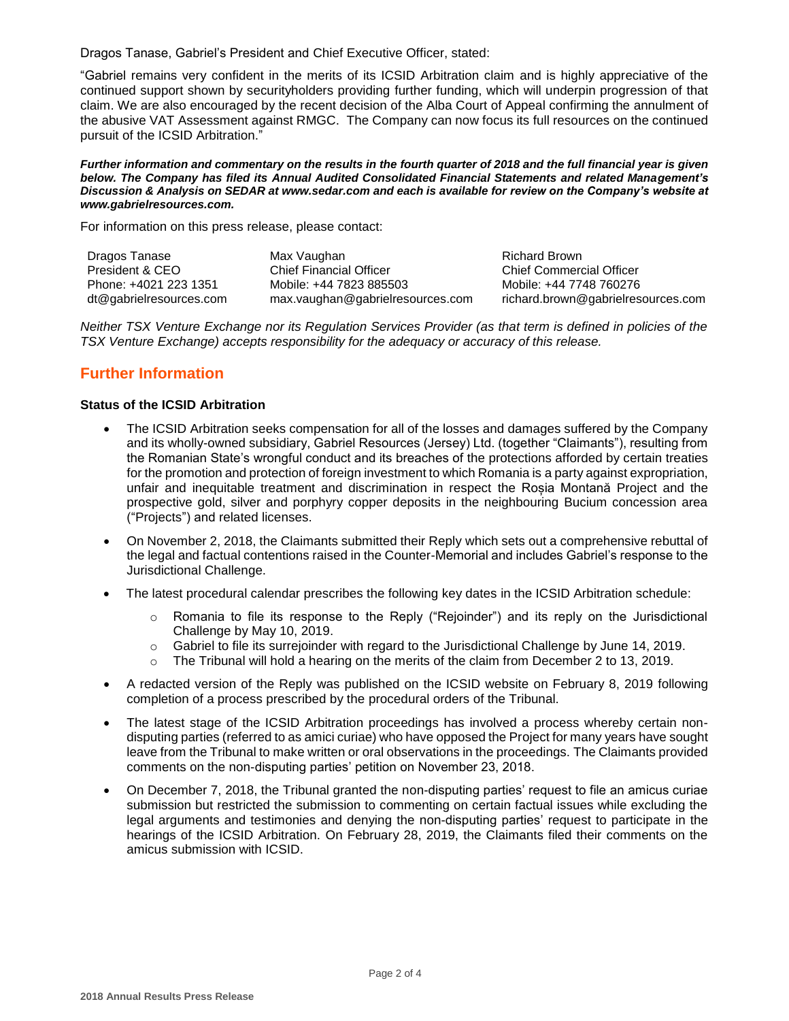Dragos Tanase, Gabriel's President and Chief Executive Officer, stated:

"Gabriel remains very confident in the merits of its ICSID Arbitration claim and is highly appreciative of the continued support shown by securityholders providing further funding, which will underpin progression of that claim. We are also encouraged by the recent decision of the Alba Court of Appeal confirming the annulment of the abusive VAT Assessment against RMGC. The Company can now focus its full resources on the continued pursuit of the ICSID Arbitration."

#### *Further information and commentary on the results in the fourth quarter of 2018 and the full financial year is given below. The Company has filed its Annual Audited Consolidated Financial Statements and related Management's Discussion & Analysis on SEDAR at www.sedar.com and each is available for review on the Company's website at www.gabrielresources.com.*

For information on this press release, please contact:

| Dragos Tanase           | Max Vaughan                      | <b>Richard Brown</b>               |
|-------------------------|----------------------------------|------------------------------------|
| President & CEO         | <b>Chief Financial Officer</b>   | <b>Chief Commercial Officer</b>    |
| Phone: +4021 223 1351   | Mobile: +44 7823 885503          | Mobile: +44 7748 760276            |
| dt@gabrielresources.com | max.vaughan@gabrielresources.com | richard.brown@gabrielresources.com |

*Neither TSX Venture Exchange nor its Regulation Services Provider (as that term is defined in policies of the TSX Venture Exchange) accepts responsibility for the adequacy or accuracy of this release.*

# **Further Information**

#### **Status of the ICSID Arbitration**

- The ICSID Arbitration seeks compensation for all of the losses and damages suffered by the Company and its wholly-owned subsidiary, Gabriel Resources (Jersey) Ltd. (together "Claimants"), resulting from the Romanian State's wrongful conduct and its breaches of the protections afforded by certain treaties for the promotion and protection of foreign investment to which Romania is a party against expropriation, unfair and inequitable treatment and discrimination in respect the Roșia Montană Project and the prospective gold, silver and porphyry copper deposits in the neighbouring Bucium concession area ("Projects") and related licenses.
- On November 2, 2018, the Claimants submitted their Reply which sets out a comprehensive rebuttal of the legal and factual contentions raised in the Counter-Memorial and includes Gabriel's response to the Jurisdictional Challenge.
- The latest procedural calendar prescribes the following key dates in the ICSID Arbitration schedule:
	- o Romania to file its response to the Reply ("Rejoinder") and its reply on the Jurisdictional Challenge by May 10, 2019.
	- o Gabriel to file its surrejoinder with regard to the Jurisdictional Challenge by June 14, 2019.
	- $\circ$  The Tribunal will hold a hearing on the merits of the claim from December 2 to 13, 2019.
- A redacted version of the Reply was published on the ICSID website on February 8, 2019 following completion of a process prescribed by the procedural orders of the Tribunal.
- The latest stage of the ICSID Arbitration proceedings has involved a process whereby certain nondisputing parties (referred to as amici curiae) who have opposed the Project for many years have sought leave from the Tribunal to make written or oral observations in the proceedings. The Claimants provided comments on the non-disputing parties' petition on November 23, 2018.
- On December 7, 2018, the Tribunal granted the non-disputing parties' request to file an amicus curiae submission but restricted the submission to commenting on certain factual issues while excluding the legal arguments and testimonies and denying the non-disputing parties' request to participate in the hearings of the ICSID Arbitration. On February 28, 2019, the Claimants filed their comments on the amicus submission with ICSID.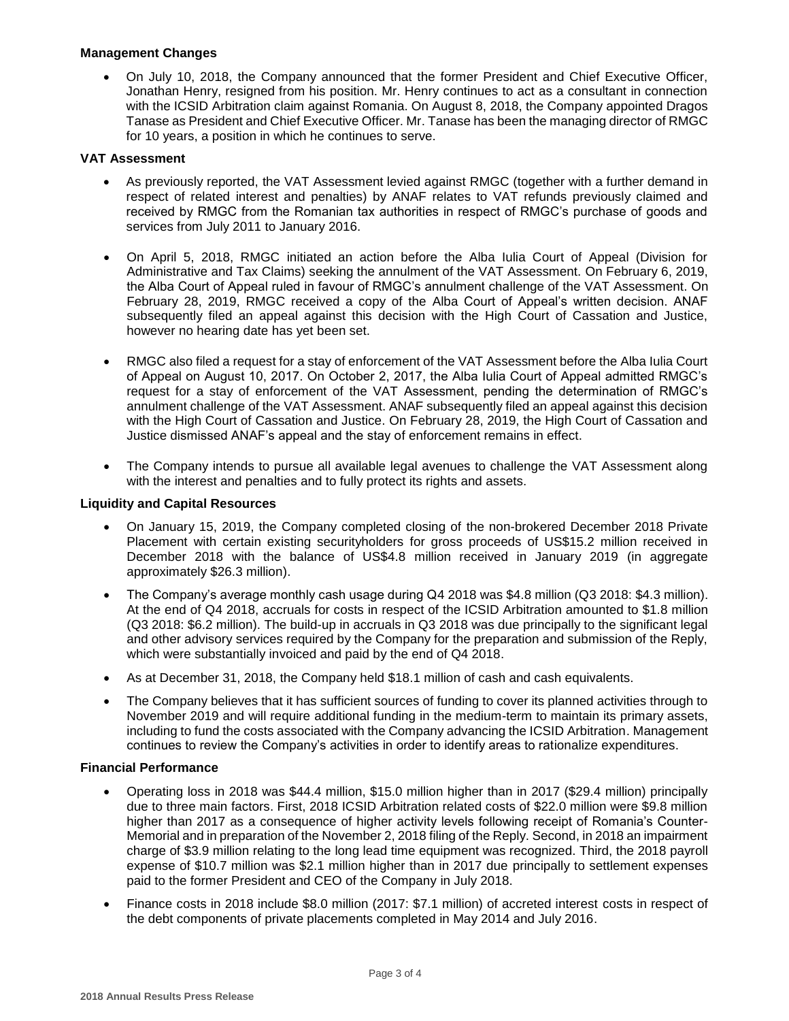## **Management Changes**

 On July 10, 2018, the Company announced that the former President and Chief Executive Officer, Jonathan Henry, resigned from his position. Mr. Henry continues to act as a consultant in connection with the ICSID Arbitration claim against Romania. On August 8, 2018, the Company appointed Dragos Tanase as President and Chief Executive Officer. Mr. Tanase has been the managing director of RMGC for 10 years, a position in which he continues to serve.

# **VAT Assessment**

- As previously reported, the VAT Assessment levied against RMGC (together with a further demand in respect of related interest and penalties) by ANAF relates to VAT refunds previously claimed and received by RMGC from the Romanian tax authorities in respect of RMGC's purchase of goods and services from July 2011 to January 2016.
- On April 5, 2018, RMGC initiated an action before the Alba Iulia Court of Appeal (Division for Administrative and Tax Claims) seeking the annulment of the VAT Assessment. On February 6, 2019, the Alba Court of Appeal ruled in favour of RMGC's annulment challenge of the VAT Assessment. On February 28, 2019, RMGC received a copy of the Alba Court of Appeal's written decision. ANAF subsequently filed an appeal against this decision with the High Court of Cassation and Justice, however no hearing date has yet been set.
- RMGC also filed a request for a stay of enforcement of the VAT Assessment before the Alba Iulia Court of Appeal on August 10, 2017. On October 2, 2017, the Alba Iulia Court of Appeal admitted RMGC's request for a stay of enforcement of the VAT Assessment, pending the determination of RMGC's annulment challenge of the VAT Assessment. ANAF subsequently filed an appeal against this decision with the High Court of Cassation and Justice. On February 28, 2019, the High Court of Cassation and Justice dismissed ANAF's appeal and the stay of enforcement remains in effect.
- The Company intends to pursue all available legal avenues to challenge the VAT Assessment along with the interest and penalties and to fully protect its rights and assets.

## **Liquidity and Capital Resources**

- On January 15, 2019, the Company completed closing of the non-brokered December 2018 Private Placement with certain existing securityholders for gross proceeds of US\$15.2 million received in December 2018 with the balance of US\$4.8 million received in January 2019 (in aggregate approximately \$26.3 million).
- The Company's average monthly cash usage during Q4 2018 was \$4.8 million (Q3 2018: \$4.3 million). At the end of Q4 2018, accruals for costs in respect of the ICSID Arbitration amounted to \$1.8 million (Q3 2018: \$6.2 million). The build-up in accruals in Q3 2018 was due principally to the significant legal and other advisory services required by the Company for the preparation and submission of the Reply, which were substantially invoiced and paid by the end of Q4 2018.
- As at December 31, 2018, the Company held \$18.1 million of cash and cash equivalents.
- The Company believes that it has sufficient sources of funding to cover its planned activities through to November 2019 and will require additional funding in the medium-term to maintain its primary assets, including to fund the costs associated with the Company advancing the ICSID Arbitration. Management continues to review the Company's activities in order to identify areas to rationalize expenditures.

#### **Financial Performance**

- Operating loss in 2018 was \$44.4 million, \$15.0 million higher than in 2017 (\$29.4 million) principally due to three main factors. First, 2018 ICSID Arbitration related costs of \$22.0 million were \$9.8 million higher than 2017 as a consequence of higher activity levels following receipt of Romania's Counter-Memorial and in preparation of the November 2, 2018 filing of the Reply. Second, in 2018 an impairment charge of \$3.9 million relating to the long lead time equipment was recognized. Third, the 2018 payroll expense of \$10.7 million was \$2.1 million higher than in 2017 due principally to settlement expenses paid to the former President and CEO of the Company in July 2018.
- Finance costs in 2018 include \$8.0 million (2017: \$7.1 million) of accreted interest costs in respect of the debt components of private placements completed in May 2014 and July 2016.